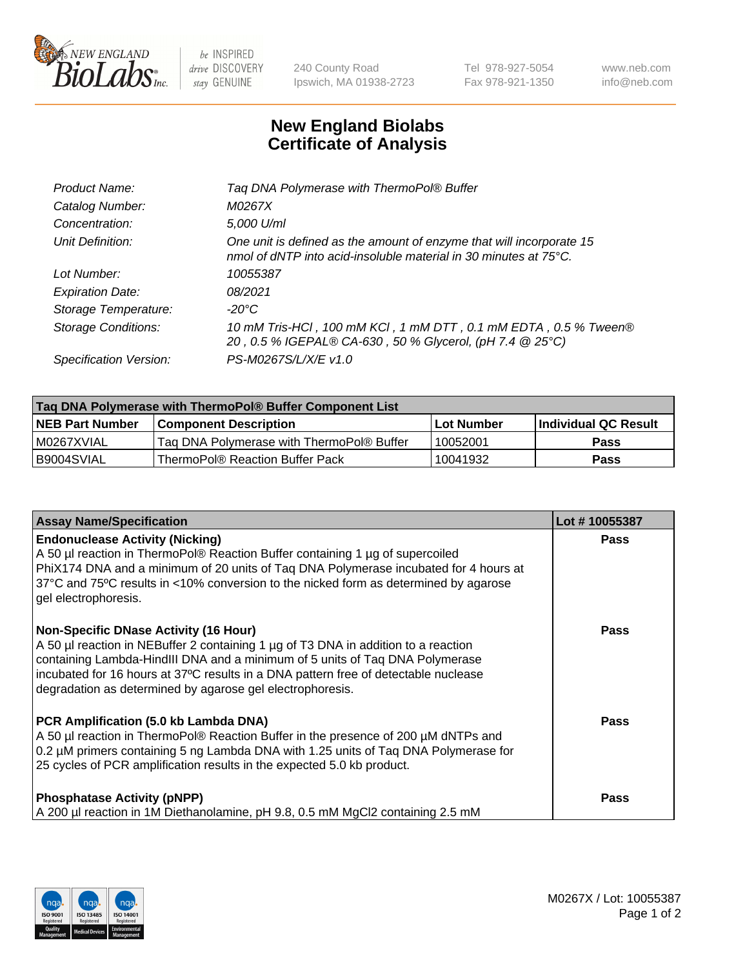

 $be$  INSPIRED drive DISCOVERY stay GENUINE

240 County Road Ipswich, MA 01938-2723 Tel 978-927-5054 Fax 978-921-1350 www.neb.com info@neb.com

## **New England Biolabs Certificate of Analysis**

| Product Name:              | Tag DNA Polymerase with ThermoPol® Buffer                                                                                                |
|----------------------------|------------------------------------------------------------------------------------------------------------------------------------------|
| Catalog Number:            | M0267X                                                                                                                                   |
| Concentration:             | 5,000 U/ml                                                                                                                               |
| Unit Definition:           | One unit is defined as the amount of enzyme that will incorporate 15<br>nmol of dNTP into acid-insoluble material in 30 minutes at 75°C. |
| Lot Number:                | 10055387                                                                                                                                 |
| <b>Expiration Date:</b>    | 08/2021                                                                                                                                  |
| Storage Temperature:       | $-20^{\circ}$ C                                                                                                                          |
| <b>Storage Conditions:</b> | 10 mM Tris-HCl, 100 mM KCl, 1 mM DTT, 0.1 mM EDTA, 0.5 % Tween®<br>20, 0.5 % IGEPAL® CA-630, 50 % Glycerol, (pH 7.4 @ 25°C)              |
| Specification Version:     | PS-M0267S/L/X/E v1.0                                                                                                                     |

| Taq DNA Polymerase with ThermoPol® Buffer Component List |                                           |                   |                      |  |
|----------------------------------------------------------|-------------------------------------------|-------------------|----------------------|--|
| <b>NEB Part Number</b>                                   | <b>Component Description</b>              | <b>Lot Number</b> | Individual QC Result |  |
| I M0267XVIAL                                             | Tag DNA Polymerase with ThermoPol® Buffer | 10052001          | <b>Pass</b>          |  |
| B9004SVIAL                                               | ThermoPol® Reaction Buffer Pack           | 10041932          | Pass                 |  |

| <b>Assay Name/Specification</b>                                                                                                                                                                                                                                                                                                                                        | Lot #10055387 |
|------------------------------------------------------------------------------------------------------------------------------------------------------------------------------------------------------------------------------------------------------------------------------------------------------------------------------------------------------------------------|---------------|
| <b>Endonuclease Activity (Nicking)</b><br>A 50 µl reaction in ThermoPol® Reaction Buffer containing 1 µg of supercoiled<br>PhiX174 DNA and a minimum of 20 units of Taq DNA Polymerase incubated for 4 hours at<br>37°C and 75°C results in <10% conversion to the nicked form as determined by agarose<br>gel electrophoresis.                                        | Pass          |
| <b>Non-Specific DNase Activity (16 Hour)</b><br>A 50 µl reaction in NEBuffer 2 containing 1 µg of T3 DNA in addition to a reaction<br>containing Lambda-HindIII DNA and a minimum of 5 units of Taq DNA Polymerase<br>incubated for 16 hours at 37°C results in a DNA pattern free of detectable nuclease<br>degradation as determined by agarose gel electrophoresis. | Pass          |
| PCR Amplification (5.0 kb Lambda DNA)<br>A 50 µl reaction in ThermoPol® Reaction Buffer in the presence of 200 µM dNTPs and<br>0.2 µM primers containing 5 ng Lambda DNA with 1.25 units of Taq DNA Polymerase for<br>25 cycles of PCR amplification results in the expected 5.0 kb product.                                                                           | Pass          |
| <b>Phosphatase Activity (pNPP)</b><br>A 200 µl reaction in 1M Diethanolamine, pH 9.8, 0.5 mM MgCl2 containing 2.5 mM                                                                                                                                                                                                                                                   | Pass          |